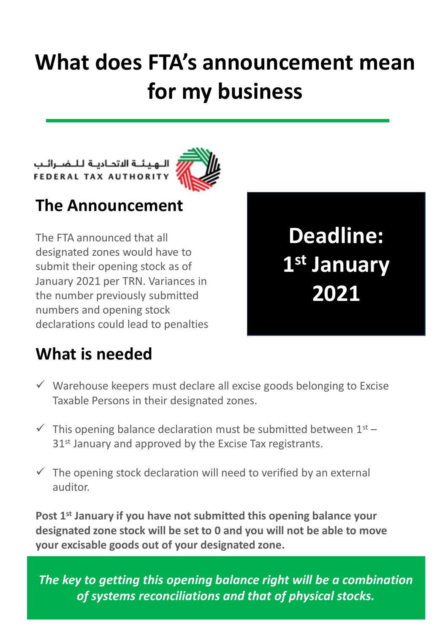## **What does FTA's announcement mean for my business**

**Deadline:** 

**1 st January** 

**2021**

الـهيئــة الاتحـاديـة لـلـضــرائـب<br>FEDERAL TAX AUTHORITY



## **The Announcement**

The FTA announced that all designated zones would have to submit their opening stock as of January 2021 per TRN. Variances in the number previously submitted numbers and opening stock declarations could lead to penalties

**What is needed** 

 $\checkmark$  Warehouse keepers must declare all excise goods belonging to Excise Taxable Persons in their designated zones.

- $\checkmark$  This opening balance declaration must be submitted between  $1^{st}$  31<sup>st</sup> January and approved by the Excise Tax registrants.
- $\checkmark$  The opening stock declaration will need to verified by an external auditor.

**Post 1st January if you have not submitted this opening balance your designated zone stock will be set to 0 and you will not be able to move your excisable goods out of your designated zone.**

*The key to getting this opening balance right will be a combination of systems reconciliations and that of physical stocks.*